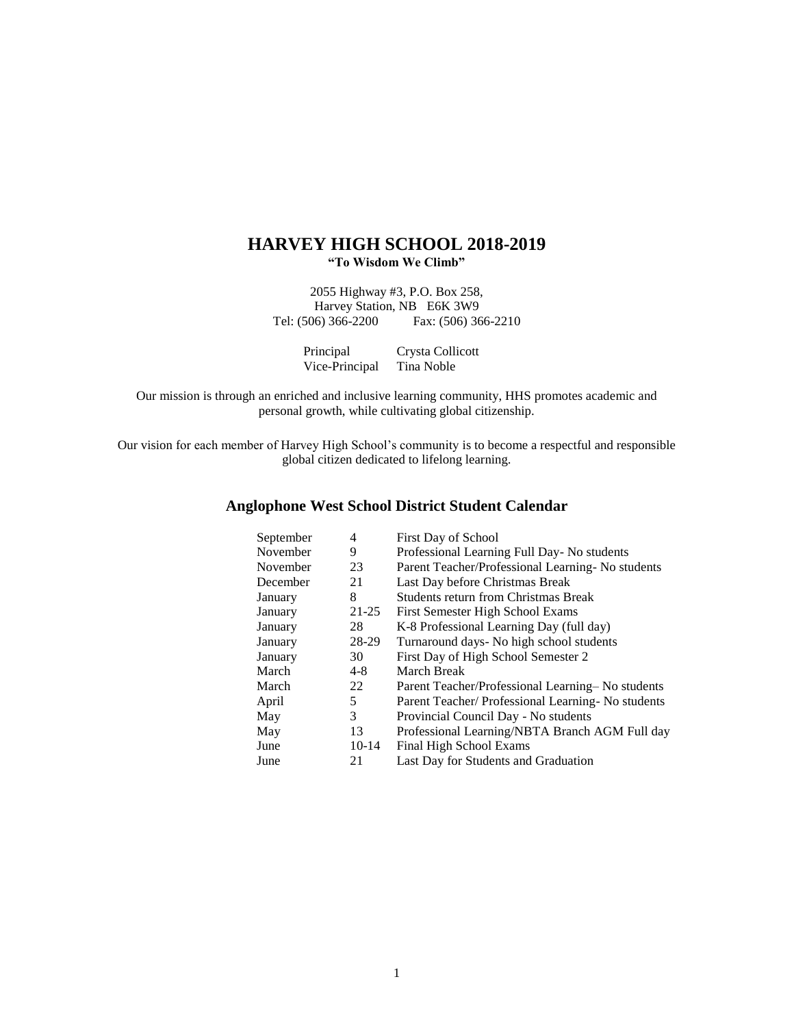## **HARVEY HIGH SCHOOL 2018-2019 "To Wisdom We Climb"**

2055 Highway #3, P.O. Box 258, Harvey Station, NB E6K 3W9<br>Tel: (506) 366-2200 Fax: (506) 36 Fax: (506) 366-2210

| Principal      | Crysta Collicott |
|----------------|------------------|
| Vice-Principal | Tina Noble       |

Our mission is through an enriched and inclusive learning community, HHS promotes academic and personal growth, while cultivating global citizenship.

Our vision for each member of Harvey High School's community is to become a respectful and responsible global citizen dedicated to lifelong learning.

# **Anglophone West School District Student Calendar**

| September | 4         | First Day of School                                 |
|-----------|-----------|-----------------------------------------------------|
| November  | 9         | Professional Learning Full Day- No students         |
| November  | 23        | Parent Teacher/Professional Learning - No students  |
| December  | 21        | Last Day before Christmas Break                     |
| January   | 8         | <b>Students return from Christmas Break</b>         |
| January   | $21 - 25$ | First Semester High School Exams                    |
| January   | 28        | K-8 Professional Learning Day (full day)            |
| January   | 28-29     | Turnaround days- No high school students            |
| January   | 30        | First Day of High School Semester 2                 |
| March     | $4 - 8$   | <b>March Break</b>                                  |
| March     | 22        | Parent Teacher/Professional Learning–No students    |
| April     | 5         | Parent Teacher/ Professional Learning - No students |
| May       | 3         | Provincial Council Day - No students                |
| May       | 13        | Professional Learning/NBTA Branch AGM Full day      |
| June      | $10-14$   | Final High School Exams                             |
| June      | 21        | Last Day for Students and Graduation                |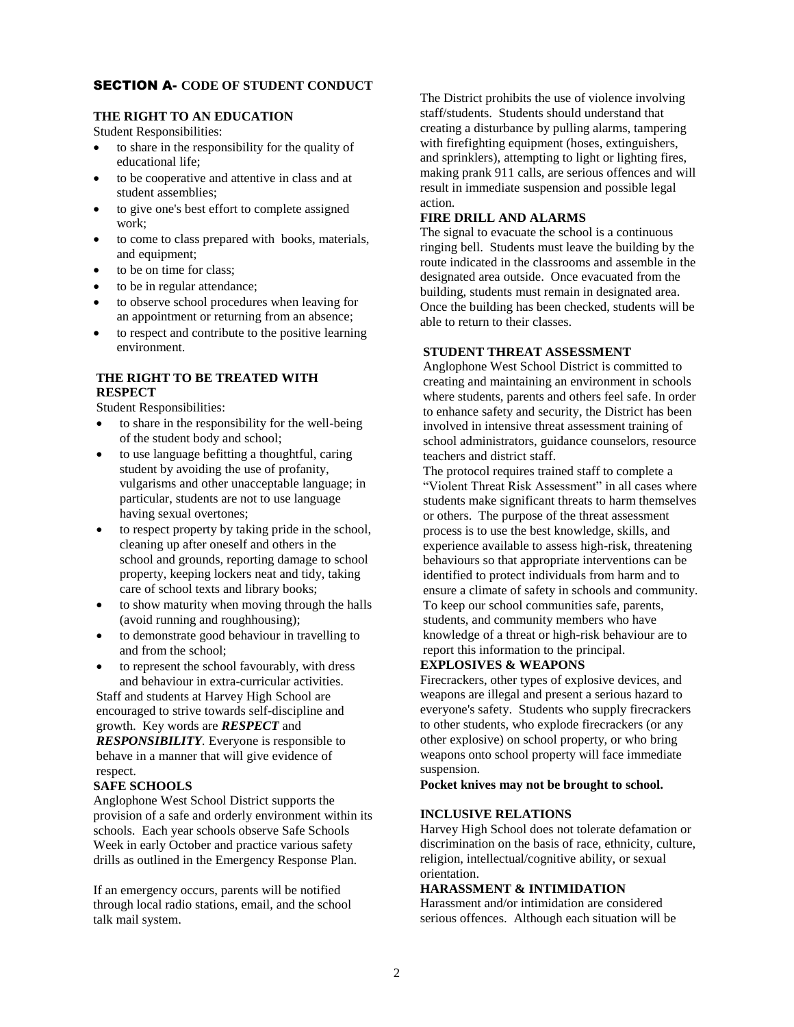## SECTION A- **CODE OF STUDENT CONDUCT**

## **THE RIGHT TO AN EDUCATION**

Student Responsibilities:

- to share in the responsibility for the quality of educational life;
- to be cooperative and attentive in class and at student assemblies;
- to give one's best effort to complete assigned work;
- to come to class prepared with books, materials, and equipment;
- to be on time for class;
- to be in regular attendance;
- to observe school procedures when leaving for an appointment or returning from an absence;
- to respect and contribute to the positive learning environment.

## **THE RIGHT TO BE TREATED WITH RESPECT**

Student Responsibilities:

- to share in the responsibility for the well-being of the student body and school;
- to use language befitting a thoughtful, caring student by avoiding the use of profanity, vulgarisms and other unacceptable language; in particular, students are not to use language having sexual overtones;
- to respect property by taking pride in the school, cleaning up after oneself and others in the school and grounds, reporting damage to school property, keeping lockers neat and tidy, taking care of school texts and library books;
- to show maturity when moving through the halls (avoid running and roughhousing);
- to demonstrate good behaviour in travelling to and from the school;
- to represent the school favourably, with dress and behaviour in extra-curricular activities.

Staff and students at Harvey High School are encouraged to strive towards self-discipline and growth. Key words are *RESPECT* and *RESPONSIBILITY.* Everyone is responsible to behave in a manner that will give evidence of respect.

## **SAFE SCHOOLS**

Anglophone West School District supports the provision of a safe and orderly environment within its schools. Each year schools observe Safe Schools Week in early October and practice various safety drills as outlined in the Emergency Response Plan.

If an emergency occurs, parents will be notified through local radio stations, email, and the school talk mail system.

The District prohibits the use of violence involving staff/students. Students should understand that creating a disturbance by pulling alarms, tampering with firefighting equipment (hoses, extinguishers, and sprinklers), attempting to light or lighting fires, making prank 911 calls, are serious offences and will result in immediate suspension and possible legal action.

## **FIRE DRILL AND ALARMS**

The signal to evacuate the school is a continuous ringing bell. Students must leave the building by the route indicated in the classrooms and assemble in the designated area outside. Once evacuated from the building, students must remain in designated area. Once the building has been checked, students will be able to return to their classes.

## **STUDENT THREAT ASSESSMENT**

Anglophone West School District is committed to creating and maintaining an environment in schools where students, parents and others feel safe. In order to enhance safety and security, the District has been involved in intensive threat assessment training of school administrators, guidance counselors, resource teachers and district staff.

The protocol requires trained staff to complete a "Violent Threat Risk Assessment" in all cases where students make significant threats to harm themselves or others. The purpose of the threat assessment process is to use the best knowledge, skills, and experience available to assess high-risk, threatening behaviours so that appropriate interventions can be identified to protect individuals from harm and to ensure a climate of safety in schools and community. To keep our school communities safe, parents, students, and community members who have knowledge of a threat or high-risk behaviour are to report this information to the principal.

## **EXPLOSIVES & WEAPONS**

Firecrackers, other types of explosive devices, and weapons are illegal and present a serious hazard to everyone's safety. Students who supply firecrackers to other students, who explode firecrackers (or any other explosive) on school property, or who bring weapons onto school property will face immediate suspension.

**Pocket knives may not be brought to school.**

## **INCLUSIVE RELATIONS**

Harvey High School does not tolerate defamation or discrimination on the basis of race, ethnicity, culture, religion, intellectual/cognitive ability, or sexual orientation.

## **HARASSMENT & INTIMIDATION**

Harassment and/or intimidation are considered serious offences. Although each situation will be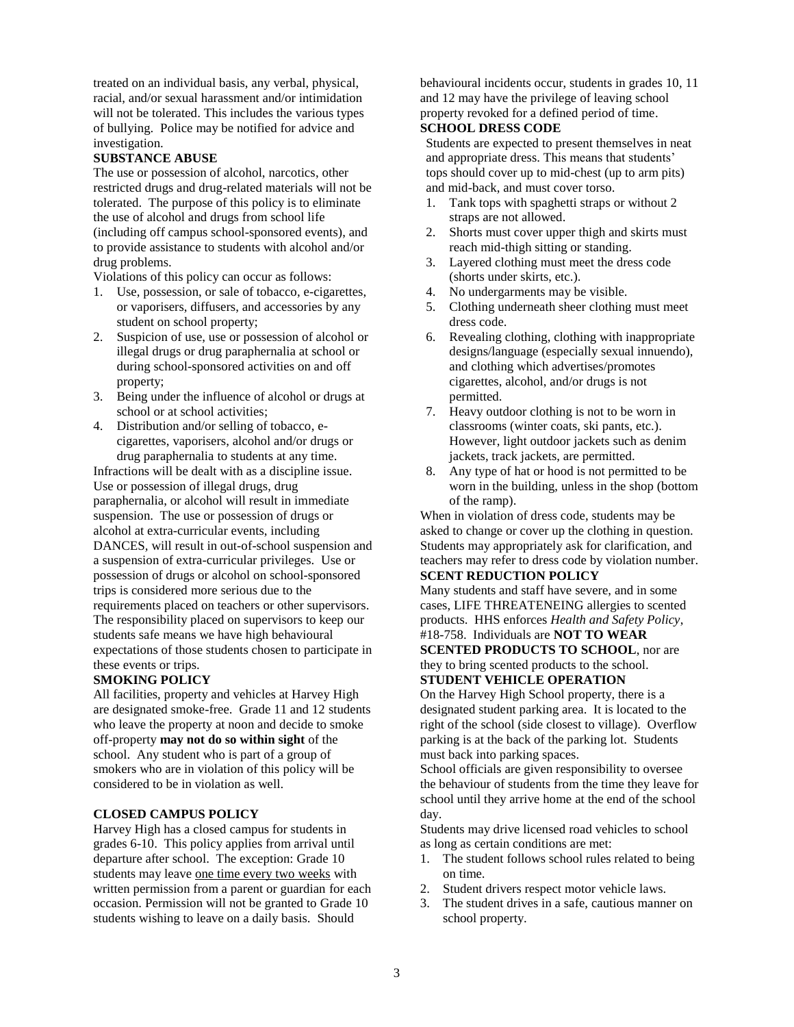treated on an individual basis, any verbal, physical, racial, and/or sexual harassment and/or intimidation will not be tolerated. This includes the various types of bullying. Police may be notified for advice and investigation.

#### **SUBSTANCE ABUSE**

The use or possession of alcohol, narcotics, other restricted drugs and drug-related materials will not be tolerated. The purpose of this policy is to eliminate the use of alcohol and drugs from school life (including off campus school-sponsored events), and to provide assistance to students with alcohol and/or drug problems.

Violations of this policy can occur as follows:

- 1. Use, possession, or sale of tobacco, e-cigarettes, or vaporisers, diffusers, and accessories by any student on school property;
- 2. Suspicion of use, use or possession of alcohol or illegal drugs or drug paraphernalia at school or during school-sponsored activities on and off property;
- 3. Being under the influence of alcohol or drugs at school or at school activities;
- 4. Distribution and/or selling of tobacco, ecigarettes, vaporisers, alcohol and/or drugs or drug paraphernalia to students at any time.

Infractions will be dealt with as a discipline issue. Use or possession of illegal drugs, drug paraphernalia, or alcohol will result in immediate suspension. The use or possession of drugs or alcohol at extra-curricular events, including DANCES*,* will result in out-of-school suspension and a suspension of extra-curricular privileges. Use or possession of drugs or alcohol on school-sponsored trips is considered more serious due to the requirements placed on teachers or other supervisors. The responsibility placed on supervisors to keep our students safe means we have high behavioural expectations of those students chosen to participate in these events or trips.

#### **SMOKING POLICY**

All facilities, property and vehicles at Harvey High are designated smoke-free. Grade 11 and 12 students who leave the property at noon and decide to smoke off-property **may not do so within sight** of the school. Any student who is part of a group of smokers who are in violation of this policy will be considered to be in violation as well.

#### **CLOSED CAMPUS POLICY**

Harvey High has a closed campus for students in grades 6-10. This policy applies from arrival until departure after school. The exception: Grade 10 students may leave one time every two weeks with written permission from a parent or guardian for each occasion. Permission will not be granted to Grade 10 students wishing to leave on a daily basis. Should

behavioural incidents occur, students in grades 10, 11 and 12 may have the privilege of leaving school property revoked for a defined period of time. **SCHOOL DRESS CODE** 

Students are expected to present themselves in neat and appropriate dress. This means that students' tops should cover up to mid-chest (up to arm pits) and mid-back, and must cover torso.

- 1. Tank tops with spaghetti straps or without 2 straps are not allowed.
- 2. Shorts must cover upper thigh and skirts must reach mid-thigh sitting or standing.
- 3. Layered clothing must meet the dress code (shorts under skirts, etc.).
- 4. No undergarments may be visible.
- 5. Clothing underneath sheer clothing must meet dress code.
- 6. Revealing clothing, clothing with inappropriate designs/language (especially sexual innuendo), and clothing which advertises/promotes cigarettes, alcohol, and/or drugs is not permitted.
- 7. Heavy outdoor clothing is not to be worn in classrooms (winter coats, ski pants, etc.). However, light outdoor jackets such as denim jackets, track jackets, are permitted.
- 8. Any type of hat or hood is not permitted to be worn in the building, unless in the shop (bottom of the ramp).

When in violation of dress code, students may be asked to change or cover up the clothing in question. Students may appropriately ask for clarification, and teachers may refer to dress code by violation number. **SCENT REDUCTION POLICY**

Many students and staff have severe, and in some cases, LIFE THREATENEING allergies to scented products. HHS enforces *Health and Safety Policy*, #18-758. Individuals are **NOT TO WEAR** 

**SCENTED PRODUCTS TO SCHOOL**, nor are they to bring scented products to the school.

**STUDENT VEHICLE OPERATION**

On the Harvey High School property, there is a designated student parking area. It is located to the right of the school (side closest to village). Overflow parking is at the back of the parking lot. Students must back into parking spaces.

School officials are given responsibility to oversee the behaviour of students from the time they leave for school until they arrive home at the end of the school day.

Students may drive licensed road vehicles to school as long as certain conditions are met:

- 1. The student follows school rules related to being on time.
- 2. Student drivers respect motor vehicle laws.
- 3. The student drives in a safe, cautious manner on school property.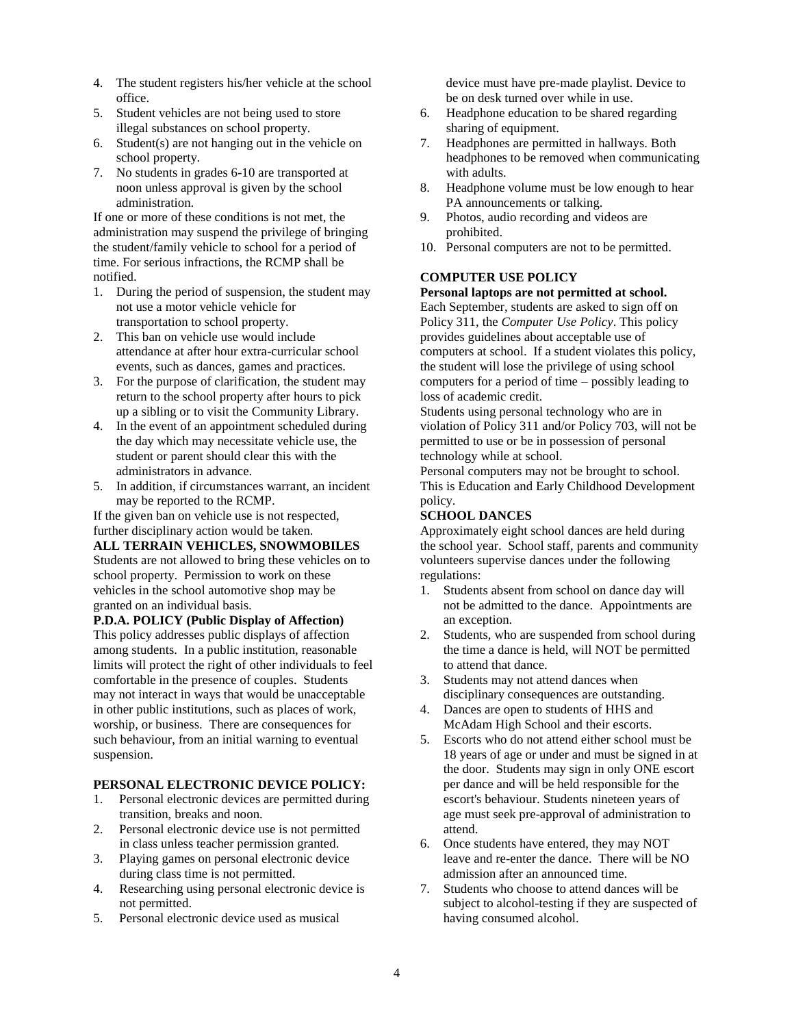- 4. The student registers his/her vehicle at the school office.
- 5. Student vehicles are not being used to store illegal substances on school property.
- 6. Student(s) are not hanging out in the vehicle on school property.
- 7. No students in grades 6-10 are transported at noon unless approval is given by the school administration.

If one or more of these conditions is not met, the administration may suspend the privilege of bringing the student/family vehicle to school for a period of time. For serious infractions, the RCMP shall be notified.

- 1. During the period of suspension, the student may not use a motor vehicle vehicle for transportation to school property.
- 2. This ban on vehicle use would include attendance at after hour extra-curricular school events, such as dances, games and practices.
- 3. For the purpose of clarification, the student may return to the school property after hours to pick up a sibling or to visit the Community Library.
- 4. In the event of an appointment scheduled during the day which may necessitate vehicle use, the student or parent should clear this with the administrators in advance.
- 5. In addition, if circumstances warrant, an incident may be reported to the RCMP.

If the given ban on vehicle use is not respected, further disciplinary action would be taken.

## **ALL TERRAIN VEHICLES, SNOWMOBILES**

Students are not allowed to bring these vehicles on to school property. Permission to work on these vehicles in the school automotive shop may be granted on an individual basis.

**P.D.A. POLICY (Public Display of Affection)**

This policy addresses public displays of affection among students. In a public institution, reasonable limits will protect the right of other individuals to feel comfortable in the presence of couples. Students may not interact in ways that would be unacceptable in other public institutions, such as places of work, worship, or business. There are consequences for such behaviour, from an initial warning to eventual suspension.

#### **PERSONAL ELECTRONIC DEVICE POLICY:**

- 1. Personal electronic devices are permitted during transition, breaks and noon.
- 2. Personal electronic device use is not permitted in class unless teacher permission granted.
- 3. Playing games on personal electronic device during class time is not permitted.
- 4. Researching using personal electronic device is not permitted.
- 5. Personal electronic device used as musical

 device must have pre-made playlist. Device to be on desk turned over while in use.

- 6. Headphone education to be shared regarding sharing of equipment.
- 7. Headphones are permitted in hallways. Both headphones to be removed when communicating with adults.
- 8. Headphone volume must be low enough to hear PA announcements or talking.
- 9. Photos, audio recording and videos are prohibited.
- 10. Personal computers are not to be permitted.

## **COMPUTER USE POLICY**

## **Personal laptops are not permitted at school.**

Each September, students are asked to sign off on Policy 311, the *Computer Use Policy*. This policy provides guidelines about acceptable use of computers at school. If a student violates this policy, the student will lose the privilege of using school computers for a period of time – possibly leading to loss of academic credit.

Students using personal technology who are in violation of Policy 311 and/or Policy 703, will not be permitted to use or be in possession of personal technology while at school.

Personal computers may not be brought to school. This is Education and Early Childhood Development policy.

## **SCHOOL DANCES**

Approximately eight school dances are held during the school year. School staff, parents and community volunteers supervise dances under the following regulations:

- 1. Students absent from school on dance day will not be admitted to the dance. Appointments are an exception.
- 2. Students, who are suspended from school during the time a dance is held, will NOT be permitted to attend that dance.
- 3. Students may not attend dances when disciplinary consequences are outstanding.
- 4. Dances are open to students of HHS and McAdam High School and their escorts.
- 5. Escorts who do not attend either school must be 18 years of age or under and must be signed in at the door. Students may sign in only ONE escort per dance and will be held responsible for the escort's behaviour. Students nineteen years of age must seek pre-approval of administration to attend.
- 6. Once students have entered, they may NOT leave and re-enter the dance. There will be NO admission after an announced time.
- 7. Students who choose to attend dances will be subject to alcohol-testing if they are suspected of having consumed alcohol.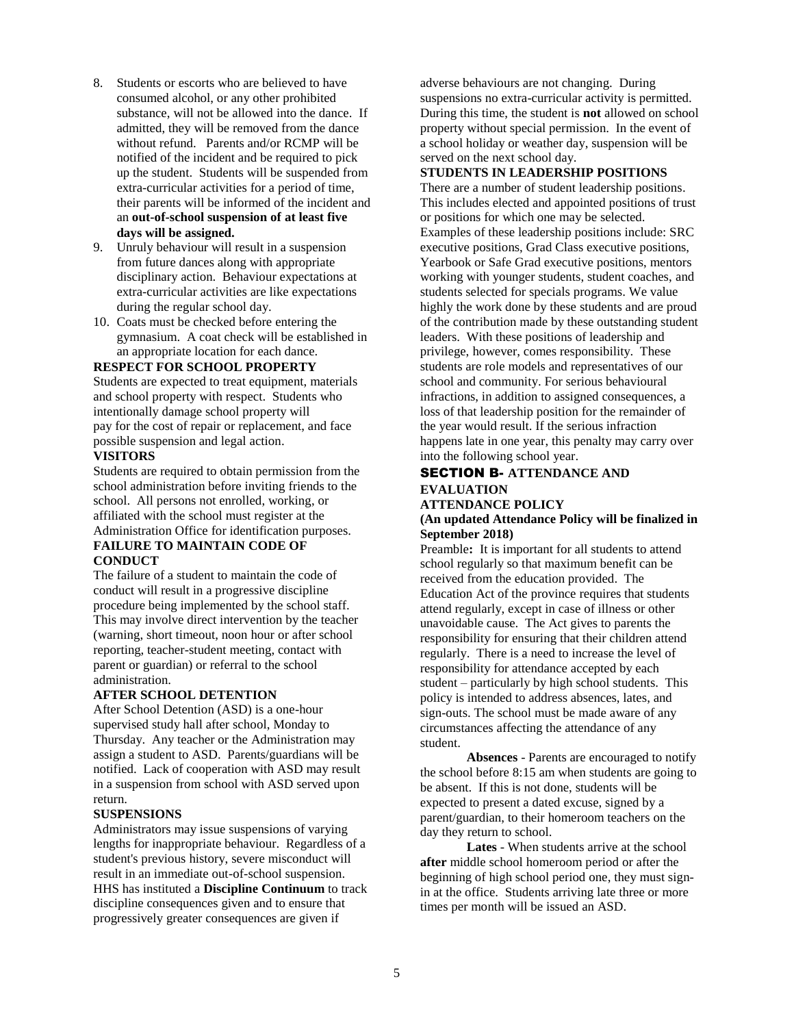- 8. Students or escorts who are believed to have consumed alcohol, or any other prohibited substance, will not be allowed into the dance. If admitted, they will be removed from the dance without refund. Parents and/or RCMP will be notified of the incident and be required to pick up the student. Students will be suspended from extra-curricular activities for a period of time, their parents will be informed of the incident and an **out-of-school suspension of at least five days will be assigned.**
- 9. Unruly behaviour will result in a suspension from future dances along with appropriate disciplinary action. Behaviour expectations at extra-curricular activities are like expectations during the regular school day.
- 10. Coats must be checked before entering the gymnasium. A coat check will be established in an appropriate location for each dance.

#### **RESPECT FOR SCHOOL PROPERTY**

Students are expected to treat equipment, materials and school property with respect. Students who intentionally damage school property will pay for the cost of repair or replacement, and face possible suspension and legal action.

## **VISITORS**

Students are required to obtain permission from the school administration before inviting friends to the school. All persons not enrolled, working, or affiliated with the school must register at the Administration Office for identification purposes.

#### **FAILURE TO MAINTAIN CODE OF CONDUCT**

The failure of a student to maintain the code of conduct will result in a progressive discipline procedure being implemented by the school staff. This may involve direct intervention by the teacher (warning, short timeout, noon hour or after school reporting, teacher-student meeting, contact with parent or guardian) or referral to the school administration.

#### **AFTER SCHOOL DETENTION**

After School Detention (ASD) is a one-hour supervised study hall after school, Monday to Thursday. Any teacher or the Administration may assign a student to ASD. Parents/guardians will be notified. Lack of cooperation with ASD may result in a suspension from school with ASD served upon return.

#### **SUSPENSIONS**

Administrators may issue suspensions of varying lengths for inappropriate behaviour. Regardless of a student's previous history, severe misconduct will result in an immediate out-of-school suspension. HHS has instituted a **Discipline Continuum** to track discipline consequences given and to ensure that progressively greater consequences are given if

adverse behaviours are not changing. During suspensions no extra-curricular activity is permitted. During this time, the student is **not** allowed on school property without special permission. In the event of a school holiday or weather day, suspension will be served on the next school day.

## **STUDENTS IN LEADERSHIP POSITIONS**

There are a number of student leadership positions. This includes elected and appointed positions of trust or positions for which one may be selected. Examples of these leadership positions include: SRC executive positions, Grad Class executive positions, Yearbook or Safe Grad executive positions, mentors working with younger students, student coaches, and students selected for specials programs. We value highly the work done by these students and are proud of the contribution made by these outstanding student leaders. With these positions of leadership and privilege, however, comes responsibility. These students are role models and representatives of our school and community. For serious behavioural infractions, in addition to assigned consequences, a loss of that leadership position for the remainder of the year would result. If the serious infraction happens late in one year, this penalty may carry over into the following school year.

## SECTION B- **ATTENDANCE AND EVALUATION**

#### **ATTENDANCE POLICY (An updated Attendance Policy will be finalized in September 2018)**

Preamble**:** It is important for all students to attend school regularly so that maximum benefit can be received from the education provided. The Education Act of the province requires that students attend regularly, except in case of illness or other unavoidable cause. The Act gives to parents the responsibility for ensuring that their children attend regularly. There is a need to increase the level of responsibility for attendance accepted by each student – particularly by high school students. This policy is intended to address absences, lates, and sign-outs. The school must be made aware of any circumstances affecting the attendance of any student.

**Absences** - Parents are encouraged to notify the school before 8:15 am when students are going to be absent. If this is not done, students will be expected to present a dated excuse, signed by a parent/guardian, to their homeroom teachers on the day they return to school.

**Lates** - When students arrive at the school **after** middle school homeroom period or after the beginning of high school period one, they must signin at the office. Students arriving late three or more times per month will be issued an ASD.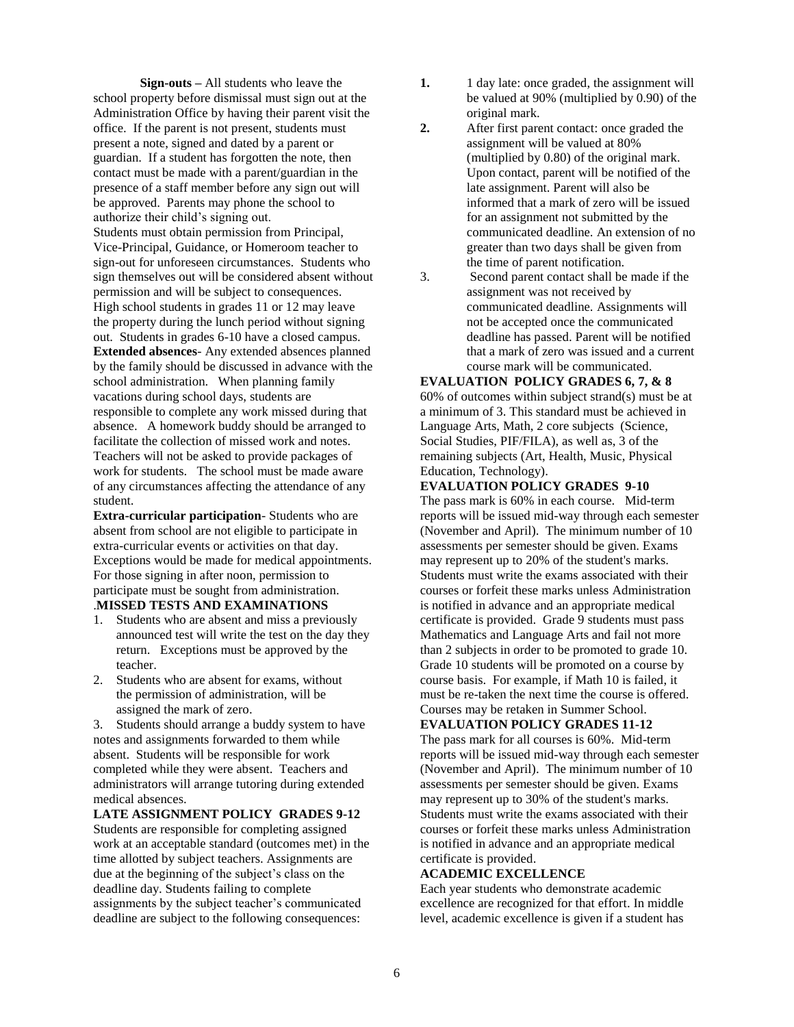**Sign-outs –** All students who leave the school property before dismissal must sign out at the Administration Office by having their parent visit the office. If the parent is not present, students must present a note, signed and dated by a parent or guardian. If a student has forgotten the note, then contact must be made with a parent/guardian in the presence of a staff member before any sign out will be approved. Parents may phone the school to authorize their child's signing out. Students must obtain permission from Principal, Vice-Principal, Guidance, or Homeroom teacher to sign-out for unforeseen circumstances. Students who sign themselves out will be considered absent without permission and will be subject to consequences. High school students in grades 11 or 12 may leave the property during the lunch period without signing out. Students in grades 6-10 have a closed campus. **Extended absences**- Any extended absences planned by the family should be discussed in advance with the school administration. When planning family vacations during school days, students are responsible to complete any work missed during that absence. A homework buddy should be arranged to facilitate the collection of missed work and notes. Teachers will not be asked to provide packages of work for students. The school must be made aware of any circumstances affecting the attendance of any student.

**Extra-curricular participation**- Students who are absent from school are not eligible to participate in extra-curricular events or activities on that day. Exceptions would be made for medical appointments. For those signing in after noon, permission to participate must be sought from administration. .**MISSED TESTS AND EXAMINATIONS**

- 1. Students who are absent and miss a previously announced test will write the test on the day they return. Exceptions must be approved by the teacher.
- 2. Students who are absent for exams, without the permission of administration, will be assigned the mark of zero.

3. Students should arrange a buddy system to have notes and assignments forwarded to them while absent. Students will be responsible for work completed while they were absent. Teachers and administrators will arrange tutoring during extended medical absences.

**LATE ASSIGNMENT POLICY GRADES 9-12** Students are responsible for completing assigned work at an acceptable standard (outcomes met) in the time allotted by subject teachers. Assignments are due at the beginning of the subject's class on the deadline day. Students failing to complete assignments by the subject teacher's communicated deadline are subject to the following consequences:

- **1.** 1 day late: once graded, the assignment will be valued at 90% (multiplied by 0.90) of the original mark.
- **2.** After first parent contact: once graded the assignment will be valued at 80% (multiplied by 0.80) of the original mark. Upon contact, parent will be notified of the late assignment. Parent will also be informed that a mark of zero will be issued for an assignment not submitted by the communicated deadline. An extension of no greater than two days shall be given from the time of parent notification.
- 3. Second parent contact shall be made if the assignment was not received by communicated deadline. Assignments will not be accepted once the communicated deadline has passed. Parent will be notified that a mark of zero was issued and a current course mark will be communicated.

**EVALUATION POLICY GRADES 6, 7, & 8** 60% of outcomes within subject strand(s) must be at a minimum of 3. This standard must be achieved in Language Arts, Math, 2 core subjects (Science, Social Studies, PIF/FILA), as well as, 3 of the remaining subjects (Art, Health, Music, Physical Education, Technology).

#### **EVALUATION POLICY GRADES 9-10**

The pass mark is 60% in each course. Mid-term reports will be issued mid-way through each semester (November and April). The minimum number of 10 assessments per semester should be given. Exams may represent up to 20% of the student's marks. Students must write the exams associated with their courses or forfeit these marks unless Administration is notified in advance and an appropriate medical certificate is provided. Grade 9 students must pass Mathematics and Language Arts and fail not more than 2 subjects in order to be promoted to grade 10. Grade 10 students will be promoted on a course by course basis. For example, if Math 10 is failed, it must be re-taken the next time the course is offered. Courses may be retaken in Summer School.

**EVALUATION POLICY GRADES 11-12** 

The pass mark for all courses is 60%. Mid-term reports will be issued mid-way through each semester (November and April). The minimum number of 10 assessments per semester should be given. Exams may represent up to 30% of the student's marks. Students must write the exams associated with their courses or forfeit these marks unless Administration is notified in advance and an appropriate medical certificate is provided.

#### **ACADEMIC EXCELLENCE**

Each year students who demonstrate academic excellence are recognized for that effort. In middle level, academic excellence is given if a student has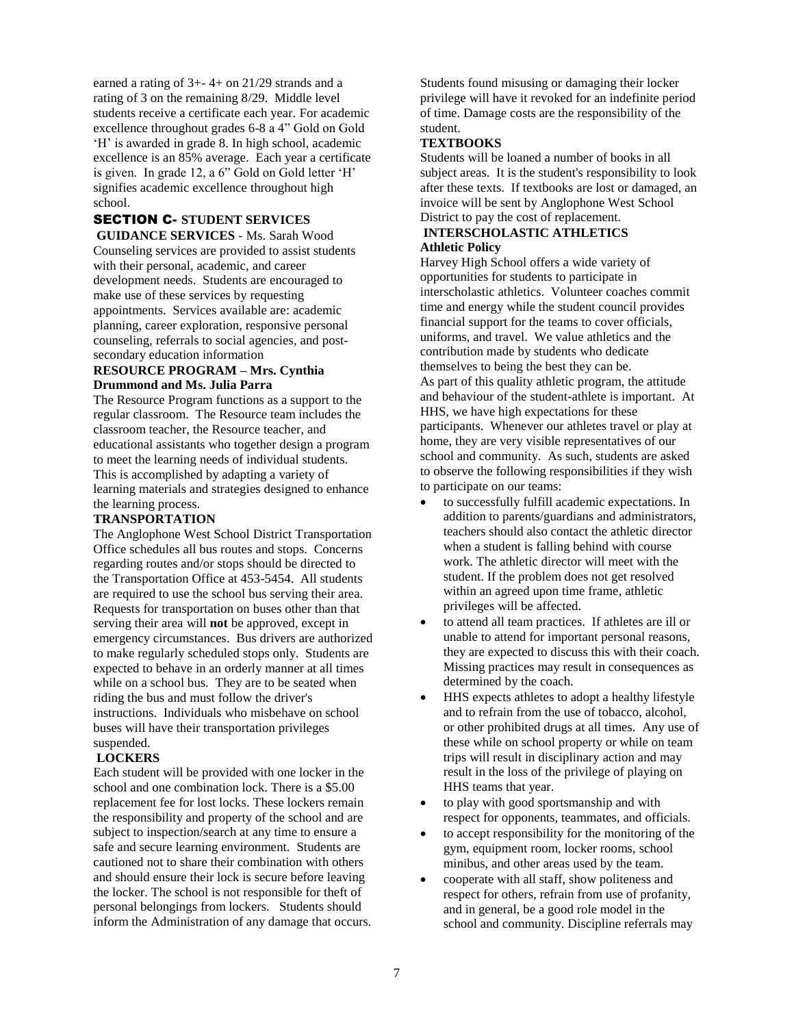earned a rating of 3+- 4+ on 21/29 strands and a rating of 3 on the remaining 8/29. Middle level students receive a certificate each year. For academic excellence throughout grades 6-8 a 4" Gold on Gold 'H' is awarded in grade 8. In high school, academic excellence is an 85% average. Each year a certificate is given. In grade 12, a 6" Gold on Gold letter 'H' signifies academic excellence throughout high school.

# SECTION C- **STUDENT SERVICES**

**GUIDANCE SERVICES** - Ms. Sarah Wood Counseling services are provided to assist students with their personal, academic, and career development needs. Students are encouraged to make use of these services by requesting appointments. Services available are: academic planning, career exploration, responsive personal counseling, referrals to social agencies, and postsecondary education information

#### **RESOURCE PROGRAM – Mrs. Cynthia Drummond and Ms. Julia Parra**

The Resource Program functions as a support to the regular classroom. The Resource team includes the classroom teacher, the Resource teacher, and educational assistants who together design a program to meet the learning needs of individual students. This is accomplished by adapting a variety of learning materials and strategies designed to enhance the learning process.

## **TRANSPORTATION**

The Anglophone West School District Transportation Office schedules all bus routes and stops. Concerns regarding routes and/or stops should be directed to the Transportation Office at 453-5454. All students are required to use the school bus serving their area. Requests for transportation on buses other than that serving their area will **not** be approved, except in emergency circumstances. Bus drivers are authorized to make regularly scheduled stops only. Students are expected to behave in an orderly manner at all times while on a school bus. They are to be seated when riding the bus and must follow the driver's instructions. Individuals who misbehave on school buses will have their transportation privileges suspended.

## **LOCKERS**

Each student will be provided with one locker in the school and one combination lock. There is a \$5.00 replacement fee for lost locks. These lockers remain the responsibility and property of the school and are subject to inspection/search at any time to ensure a safe and secure learning environment. Students are cautioned not to share their combination with others and should ensure their lock is secure before leaving the locker. The school is not responsible for theft of personal belongings from lockers. Students should inform the Administration of any damage that occurs. Students found misusing or damaging their locker privilege will have it revoked for an indefinite period of time. Damage costs are the responsibility of the student.

## **TEXTBOOKS**

Students will be loaned a number of books in all subject areas. It is the student's responsibility to look after these texts. If textbooks are lost or damaged, an invoice will be sent by Anglophone West School District to pay the cost of replacement.

## **INTERSCHOLASTIC ATHLETICS Athletic Policy**

Harvey High School offers a wide variety of opportunities for students to participate in interscholastic athletics. Volunteer coaches commit time and energy while the student council provides financial support for the teams to cover officials, uniforms, and travel. We value athletics and the contribution made by students who dedicate themselves to being the best they can be. As part of this quality athletic program, the attitude and behaviour of the student-athlete is important. At HHS, we have high expectations for these participants. Whenever our athletes travel or play at home, they are very visible representatives of our school and community. As such, students are asked to observe the following responsibilities if they wish to participate on our teams:

- to successfully fulfill academic expectations. In addition to parents/guardians and administrators, teachers should also contact the athletic director when a student is falling behind with course work. The athletic director will meet with the student. If the problem does not get resolved within an agreed upon time frame, athletic privileges will be affected.
- to attend all team practices. If athletes are ill or unable to attend for important personal reasons, they are expected to discuss this with their coach. Missing practices may result in consequences as determined by the coach.
- HHS expects athletes to adopt a healthy lifestyle and to refrain from the use of tobacco, alcohol, or other prohibited drugs at all times. Any use of these while on school property or while on team trips will result in disciplinary action and may result in the loss of the privilege of playing on HHS teams that year.
- to play with good sportsmanship and with respect for opponents, teammates, and officials.
- to accept responsibility for the monitoring of the gym, equipment room, locker rooms, school minibus, and other areas used by the team.
- cooperate with all staff, show politeness and respect for others, refrain from use of profanity, and in general, be a good role model in the school and community. Discipline referrals may